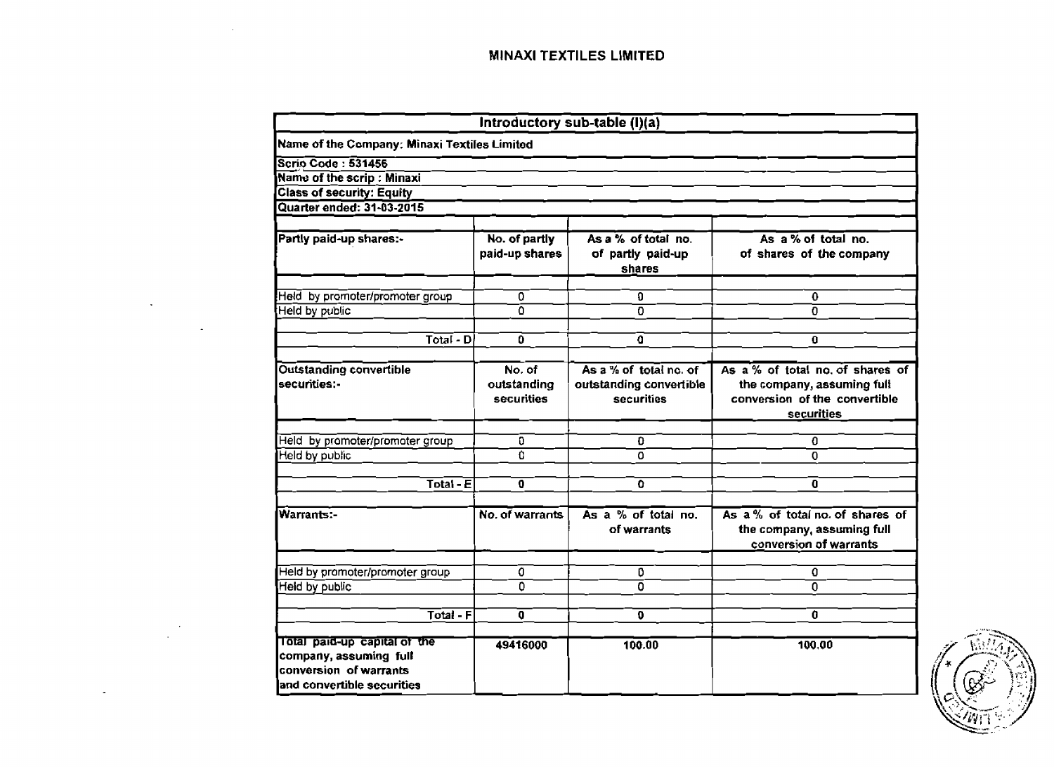|                                                                                                                |                                     | Introductory sub-table (I)(a)                                   |                                                                                                              |
|----------------------------------------------------------------------------------------------------------------|-------------------------------------|-----------------------------------------------------------------|--------------------------------------------------------------------------------------------------------------|
| Name of the Company: Minaxi Textiles Limited                                                                   |                                     |                                                                 |                                                                                                              |
| <b>Scrio Code: 531456</b>                                                                                      |                                     |                                                                 |                                                                                                              |
| Name of the scrip : Minaxi                                                                                     |                                     |                                                                 |                                                                                                              |
| <b>Class of security: Equity</b>                                                                               |                                     |                                                                 |                                                                                                              |
| Quarter ended: 31-03-2015                                                                                      |                                     |                                                                 |                                                                                                              |
| Partly paid-up shares:-                                                                                        | No. of partly<br>paid-up shares     | As a % of total no.<br>of partly paid-up<br>shares              | As $a\%$ of total no.<br>of shares of the company                                                            |
| Held by promoter/promoter group                                                                                | 0                                   | Ð                                                               | 0                                                                                                            |
| Held by public                                                                                                 | Ō                                   | $\overline{\mathfrak{o}}$                                       | $\overline{0}$                                                                                               |
| Total - D                                                                                                      | 0                                   | O                                                               | $\Omega$                                                                                                     |
|                                                                                                                |                                     |                                                                 |                                                                                                              |
| <b>Outstanding convertible</b><br>securities:-                                                                 | No. of<br>outstanding<br>securities | As a % of total no. of<br>outstanding convertible<br>securities | As a % of total no of shares of<br>the company, assuming full<br>conversion of the convertible<br>securities |
|                                                                                                                |                                     |                                                                 |                                                                                                              |
| Held by promoter/promoter group                                                                                | 0                                   | $\mathbf{0}$                                                    | 0                                                                                                            |
| Held by public                                                                                                 | $\Omega$                            | 0                                                               | $\Omega$                                                                                                     |
| $\overline{\text{Total - E}}$                                                                                  | 0                                   | $\overline{\mathfrak{o}}$                                       | $\mathbf{0}$                                                                                                 |
| Warrants:-                                                                                                     | No. of warrants                     | As a % of total no.<br>of warrants                              | As a % of total no. of shares of<br>the company, assuming full<br>conversion of warrants                     |
| Held by promoter/promoter group                                                                                | 0                                   | 0                                                               | 0                                                                                                            |
| Held by public                                                                                                 | $\overline{0}$                      | 0                                                               | 0                                                                                                            |
| Total - F                                                                                                      | $\mathbf 0$                         | $\Omega$                                                        | $\mathbf{a}$                                                                                                 |
| Total paid-up capital of the<br>company, assuming full<br>conversion of warrants<br>and convertible securities | 49416000                            | 100.00                                                          | 100.00                                                                                                       |

 $\overline{\phantom{a}}$ 

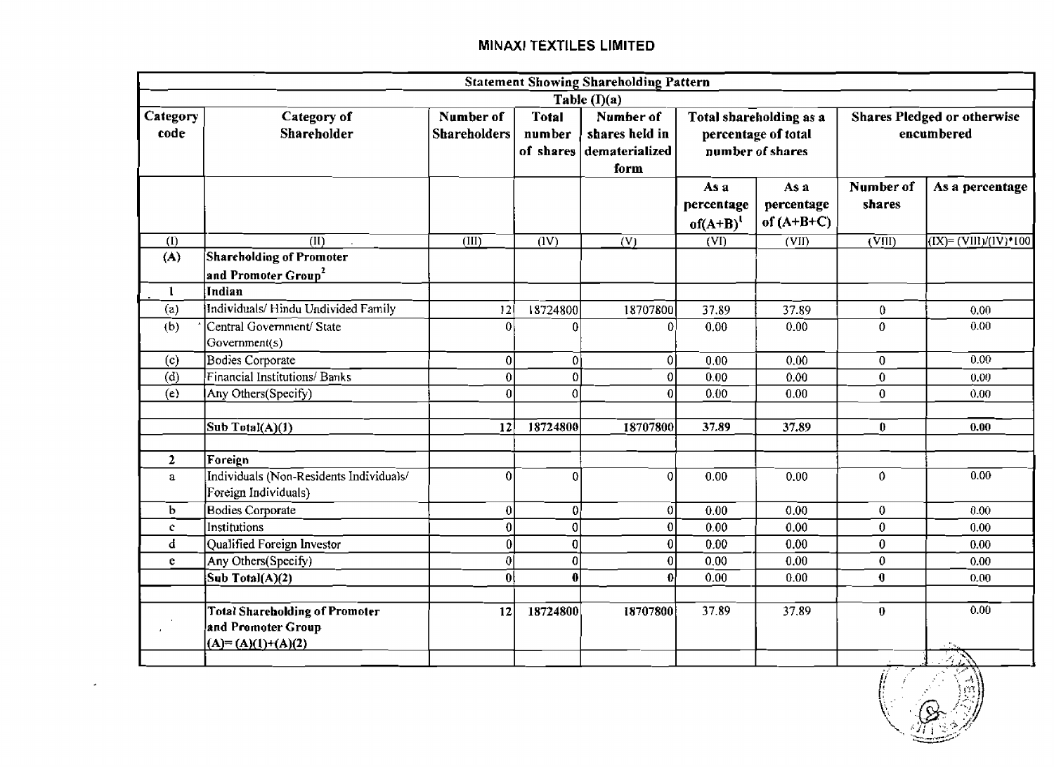|                  |                                                                                    |                                                                         |                   | <b>Statement Showing Shareholding Pattern</b>         |                                     |                                                                    |                                                  |                                     |  |
|------------------|------------------------------------------------------------------------------------|-------------------------------------------------------------------------|-------------------|-------------------------------------------------------|-------------------------------------|--------------------------------------------------------------------|--------------------------------------------------|-------------------------------------|--|
|                  |                                                                                    |                                                                         |                   | Table $(I)(a)$                                        |                                     |                                                                    |                                                  |                                     |  |
| Category<br>code | Category of<br><b>Shareholder</b>                                                  | Number of<br><b>Total</b><br><b>Shareholders</b><br>number<br>of shares |                   | Number of<br>shares held in<br>dematerialized<br>form |                                     | Total shareholding as a<br>percentage of total<br>number of shares | <b>Shares Pledged or otherwise</b><br>encumbered |                                     |  |
|                  |                                                                                    |                                                                         |                   |                                                       | As a<br>percentage<br>$of(A+B)^{1}$ | As a<br>percentage<br>of $(A+B+C)$                                 | Number of<br>shares                              | As a percentage                     |  |
| (1)              | $\overline{\text{(II)}}$                                                           | (III)                                                                   | $\overline{(IV)}$ | $\overline{(V)}$                                      | $\overline{\text{(vn}}$             | (VII)                                                              | $\overline{\text{(VIII)}}$                       | $\sqrt{(IX)^2 + (VIII)/(IV)^4}$ 100 |  |
| (A)              | <b>Shareholding of Promoter</b><br>and Promoter Group <sup>2</sup>                 |                                                                         |                   |                                                       |                                     |                                                                    |                                                  |                                     |  |
| $\mathbf{1}$     | Indian                                                                             |                                                                         |                   |                                                       |                                     |                                                                    |                                                  |                                     |  |
| (a)              | Individuals/Hindu Undivided Family                                                 | 12                                                                      | 18724800          | 18707800                                              | 37.89                               | 37.89                                                              | $\overline{0}$                                   | 0.00                                |  |
| (b)              | Central Government/ State<br>Government(s)                                         | 0                                                                       | $\bf{0}$          | $\vert 0 \vert$                                       | 0.00                                | 0.00                                                               | 0                                                | 0.00                                |  |
| (c)              | Bodies Corporate                                                                   | $\overline{0}$                                                          | 0İ                | 0                                                     | 0.00                                | 0.00                                                               | $\overline{0}$                                   | 0.00                                |  |
| (d)              | Financial Institutions/Banks                                                       | $\overline{0}$                                                          | $\mathbf{0}$      | 0                                                     | 0.00                                | 0.00                                                               | $\bf{0}$                                         | 0.00                                |  |
| (e)              | $\overline{\text{Any } \text{Others}}(\text{Specify})$                             | $\mathbf{0}$                                                            | $\mathfrak{o}$    | $\overline{0}$                                        | 0.00                                | 0.00                                                               | $\bf{0}$                                         | 0.00                                |  |
|                  | Sub Total(A)(1)                                                                    | 12                                                                      | 18724800          | 18707800                                              | 37.89                               | 37.89                                                              | $\mathbf{0}$                                     | 0.00                                |  |
| $\mathbf{2}$     | Foreign                                                                            |                                                                         |                   |                                                       |                                     |                                                                    |                                                  |                                     |  |
| $\mathbf{a}$     | Individuals (Non-Residents Individuals/<br>Foreign Individuals)                    | 0                                                                       | $\overline{0}$    | οI                                                    | 0.00                                | 0.00                                                               | $\mathbf{0}$                                     | 0.00                                |  |
| $\mathbf b$      | <b>Bodies Corporate</b>                                                            | $\boldsymbol{0}$                                                        | $\mathbf{0}$      | 0                                                     | 0.00                                | 0.00                                                               | $\mathbf 0$                                      | 0.00                                |  |
| ¢.               | Institutions                                                                       | $\overline{0}$                                                          | $\overline{0}$    | $\overline{0}$                                        | 0.00                                | 0.00                                                               | $\theta$                                         | 0.00                                |  |
| d                | Qualified Foreign Investor                                                         | $\overline{0}$                                                          | 0                 | 0                                                     | 0.00                                | 0.00                                                               | $\bf{0}$                                         | 0.00                                |  |
| e.               | Any Others(Specify)                                                                | 0                                                                       | 0                 | 0                                                     | 0.00                                | 0.00                                                               | $\mathbf{0}$                                     | 0.00                                |  |
|                  | Sub Total(A)(2)                                                                    | $\mathbf{0}$                                                            | $\bf{0}$          | Ωł                                                    | 0.00                                | 0.00                                                               | $\mathbf 0$                                      | 0.00                                |  |
|                  | <b>Total Shareholding of Promoter</b><br>and Promoter Group<br>$(A)=(A)(1)+(A)(2)$ | 12                                                                      | 18724800          | 18707800                                              | 37.89                               | 37.89                                                              | $\bf{0}$                                         | 0.00                                |  |
|                  |                                                                                    |                                                                         |                   |                                                       |                                     |                                                                    |                                                  | $\mathcal{A}_L$                     |  |

 $\star$ 

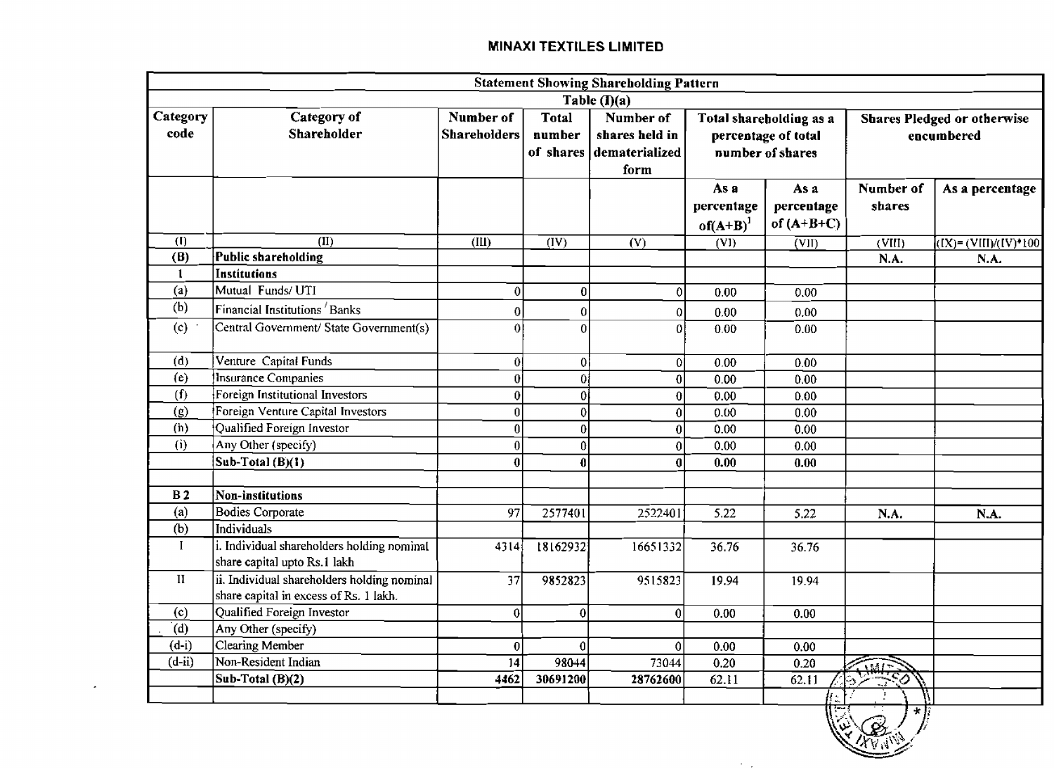|                  |                                                                                       |                                  |                  | <b>Statement Showing Shareholding Pattern</b>                   |                                                                    |                                    |                     |                                                  |  |  |
|------------------|---------------------------------------------------------------------------------------|----------------------------------|------------------|-----------------------------------------------------------------|--------------------------------------------------------------------|------------------------------------|---------------------|--------------------------------------------------|--|--|
|                  |                                                                                       |                                  |                  | Table $($ I $)(a)$                                              |                                                                    |                                    |                     |                                                  |  |  |
| Category<br>code | Category of<br>Shareholder                                                            | Number of<br><b>Shareholders</b> | Total<br>number  | Number of<br>shares held in<br>of shares dematerialized<br>form | Total shareholding as a<br>percentage of total<br>number of shares |                                    |                     | <b>Shares Pledged or otherwise</b><br>encumbered |  |  |
|                  |                                                                                       |                                  |                  |                                                                 | As a<br>percentage<br>$of(A+B)^{1}$                                | As a<br>percentage<br>of $(A+B+C)$ | Number of<br>shares | As a percentage                                  |  |  |
| (1)              | $\overline{(\text{II})}$                                                              | $\overline{\text{(III)}}$        | (IV)             | (V)                                                             | (VI)                                                               | $\overline{\text{(VII)}}$          | (VIII)              | $(\overline{[X]} = (\overline{V[[1]/(IV)^*100}$  |  |  |
| (B)              | Public shareholding                                                                   |                                  |                  |                                                                 |                                                                    |                                    | N.A.                | N.A.                                             |  |  |
| 1                | Institutions                                                                          |                                  |                  |                                                                 |                                                                    |                                    |                     |                                                  |  |  |
| (a)              | Mutual Funds/ UTI                                                                     | $\overline{0}$                   | 0                | $\mathbf{0}$                                                    | 0.00                                                               | 0.00                               |                     |                                                  |  |  |
| (b)              | Financial Institutions Banks                                                          | 0                                | $\mathbf 0$      | 0                                                               | 0.00                                                               | 0.00                               |                     |                                                  |  |  |
| (c)              | Central Government/ State Government(s)                                               | $\Omega$                         | $\theta$         | $\overline{0}$                                                  | 0.00                                                               | 0.00                               |                     |                                                  |  |  |
| (d)              | Venture Capital Funds                                                                 | 0                                | 0                | 0                                                               | 0.00                                                               | 0.00                               |                     |                                                  |  |  |
| (e)              | Insurance Companies                                                                   | $\overline{0}$                   | 0İ               | 0                                                               | 0.00                                                               | 0.00                               |                     |                                                  |  |  |
| (f)              | Foreign Institutional Investors                                                       | 0                                | $\mathbf{0}$     | 0                                                               | 0.00                                                               | 0.00                               |                     |                                                  |  |  |
| (g)              | Foreign Venture Capital Investors                                                     | $\bf{0}$                         | 0                | 0                                                               | 0.00                                                               | 0.00                               |                     |                                                  |  |  |
| (h)              | Qualified Foreign Investor                                                            | 0                                | $\boldsymbol{0}$ | $\boldsymbol{0}$                                                | 0.00                                                               | 0.00                               |                     |                                                  |  |  |
| (i)              | Any Other (specify)                                                                   | 0                                | 0                | $\mathbf 0$                                                     | 0.00                                                               | 0.00                               |                     |                                                  |  |  |
|                  | Sub-Total $(B)(1)$                                                                    | 0                                | 0                | $\bf{0}$                                                        | 0.00                                                               | 0.00                               |                     |                                                  |  |  |
| B <sub>2</sub>   | Non-institutions                                                                      |                                  |                  |                                                                 |                                                                    |                                    |                     |                                                  |  |  |
| (a)              | <b>Bodies Corporate</b>                                                               | 97                               | 2577401          | 2522401                                                         | 5.22                                                               | 5.22                               | N.A.                | N.A.                                             |  |  |
| (b)              | Individuals                                                                           |                                  |                  |                                                                 |                                                                    |                                    |                     |                                                  |  |  |
| L                | i. Individual shareholders holding nominal<br>share capital upto Rs.1 lakh            | 4314                             | 18162932         | 16651332                                                        | 36.76                                                              | 36.76                              |                     |                                                  |  |  |
| $\,$ II          | ii. Individual shareholders holding nominal<br>share capital in excess of Rs. 1 lakh. | 37                               | 9852823          | 9515823                                                         | 19.94                                                              | 19.94                              |                     |                                                  |  |  |
| (c)              | Qualified Foreign Investor                                                            | 0                                | 0                | $\mathbf{0}$                                                    | 0.00                                                               | 0.00                               |                     |                                                  |  |  |
| (d)              | Any Other (specify)                                                                   |                                  |                  |                                                                 |                                                                    |                                    |                     |                                                  |  |  |
| $(d-i)$          | Clearing Member                                                                       | $\bf{0}$                         | -0               | 0                                                               | 0.00                                                               | 0.00                               |                     |                                                  |  |  |
| $(d - ii)$       | Non-Resident Indian                                                                   | $\overline{14}$                  | 98044            | 73044                                                           | 0.20                                                               | 0.20                               | $1881 -$            |                                                  |  |  |
|                  | Sub-Total (B)(2)                                                                      | 4462                             | 30691200         | 28762600                                                        | 62.11                                                              | 62.11                              |                     |                                                  |  |  |
|                  |                                                                                       |                                  |                  |                                                                 |                                                                    |                                    |                     |                                                  |  |  |

 $\mathbf{r}$ 

 $\mathcal{F}=\mathcal{F}$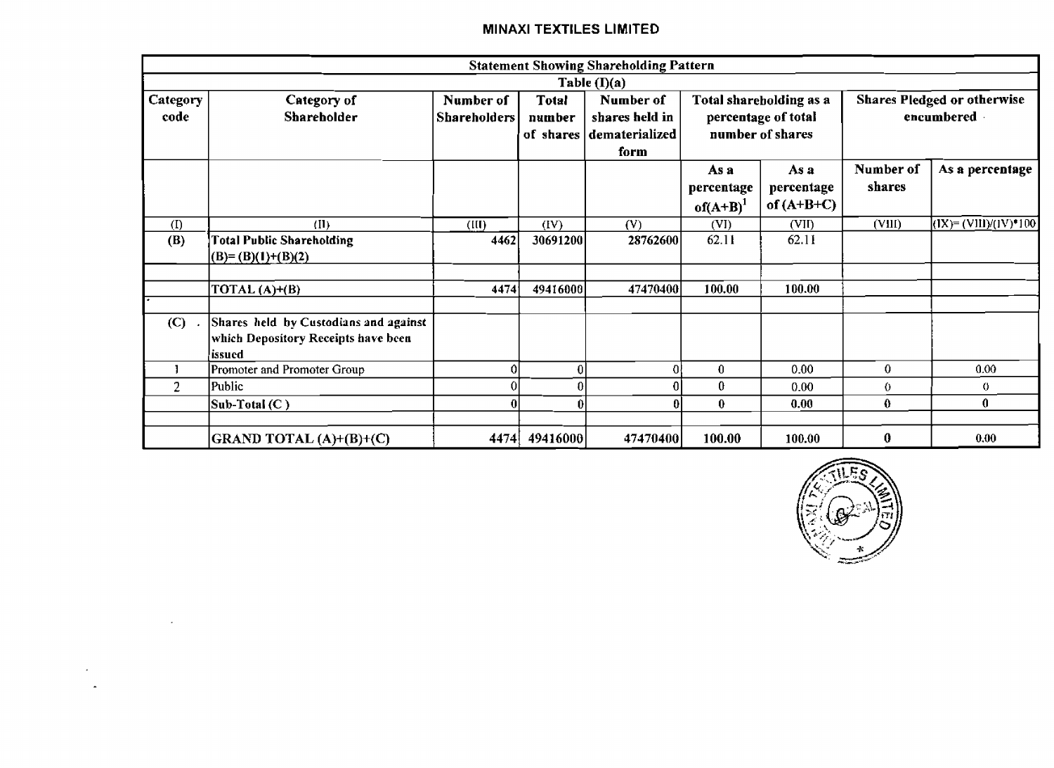|                  |                                                                                        |                                  |                        | <b>Statement Showing Shareholding Pattern</b>                   |                                     |                                                                    |                                                  |                          |  |
|------------------|----------------------------------------------------------------------------------------|----------------------------------|------------------------|-----------------------------------------------------------------|-------------------------------------|--------------------------------------------------------------------|--------------------------------------------------|--------------------------|--|
|                  |                                                                                        |                                  |                        | Table $(I)(a)$                                                  |                                     |                                                                    |                                                  |                          |  |
| Category<br>code | Category of<br><b>Shareholder</b>                                                      | Number of<br><b>Shareholders</b> | <b>Total</b><br>number | Number of<br>shares held in<br>of shares dematerialized<br>form |                                     | Total shareholding as a<br>percentage of total<br>number of shares | <b>Shares Pledged or otherwise</b><br>encumbered |                          |  |
|                  |                                                                                        |                                  |                        |                                                                 | As a<br>percentage<br>$of(A+B)^{1}$ | As a<br>percentage<br>of $(A+B+C)$                                 | Number of<br>shares                              | As a percentage          |  |
| (1)              | (II)                                                                                   | (III)                            | (IV)                   | (V)                                                             | (VI)                                | (VII)                                                              | (VIII)                                           | $(IX) = (VIII)/(IV)*100$ |  |
| (B)              | <b>Total Public Shareholding</b><br>$(B)=(B)(1)+(B)(2)$                                | 4462                             | 30691200               | 28762600                                                        | 62.11                               | 62.11                                                              |                                                  |                          |  |
|                  | TOTAL $(A)+(B)$                                                                        | 4474                             | 49416000               | 47470400                                                        | 100.00                              | 100.00                                                             |                                                  |                          |  |
| (C)              | Shares held by Custodians and against<br>which Depository Receipts have been<br>issued |                                  |                        |                                                                 |                                     |                                                                    |                                                  |                          |  |
|                  | Promoter and Promoter Group                                                            |                                  | $\bf{0}$               | 0                                                               | $\bf{0}$                            | 0.00                                                               | 0                                                | 0.00                     |  |
| $\overline{2}$   | Public                                                                                 |                                  | 0                      | 0                                                               | 0                                   | 0.00                                                               | 0                                                | 0.                       |  |
|                  | $Sub-Total (C)$                                                                        | 0                                | $\bf{0}$               | 0                                                               | $\bf{0}$                            | 0.00                                                               | 0                                                | $\mathbf{0}$             |  |
|                  | GRAND TOTAL (A)+(B)+(C)                                                                | 4474                             | 49416000               | 47470400                                                        | 100.00                              | 100.00                                                             | 0                                                | 0.00                     |  |

 $\sim 10$ 

 $\sim 10$  $\sim$ 

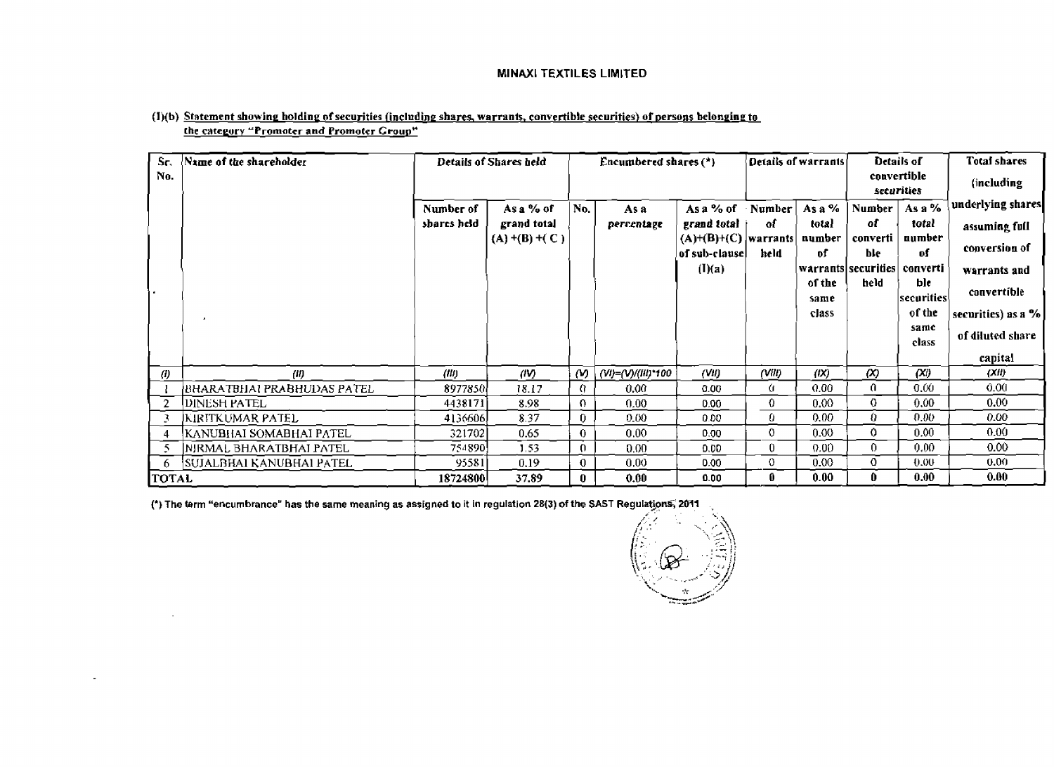| Sr.          | Name of the shareholder    |             | Details of Shares held |                | Encumbered shares (*) |                                         |              | Details of warrants |                              | Details of    | <b>Total shares</b> |
|--------------|----------------------------|-------------|------------------------|----------------|-----------------------|-----------------------------------------|--------------|---------------------|------------------------------|---------------|---------------------|
| No.          |                            |             |                        |                |                       |                                         |              |                     | securities                   | convertible   | (including          |
|              |                            | Number of   | As a % of              | No.            | As a                  | As a $%$ of                             | Number       | As a $%$            | Number                       | As a $%$      | underlying shares   |
|              |                            | shares held | grand total            |                | percentage            | grand total                             | оf           | total               | оľ                           | total         | assuming full       |
|              |                            |             | $(A)$ +(B) +(C)        |                |                       | $(A)+(B)+(C)$ warrants<br>of sub-clause | keld         | number<br>of        | converti<br>ble.             | aumber<br>of  | conversion of       |
|              |                            |             |                        |                |                       | (I)(a)                                  |              |                     | warrants securities converti |               | warrants and        |
| i.           |                            |             |                        |                |                       |                                         |              | of the              | held                         | ble           | convertible         |
|              |                            |             |                        |                |                       |                                         |              | same                |                              | securities    |                     |
|              |                            |             |                        |                |                       |                                         |              | class               |                              | of the        | securities) as a %  |
|              |                            |             |                        |                |                       |                                         |              |                     |                              | same<br>class | of diluted share    |
|              |                            |             |                        |                |                       |                                         |              |                     |                              |               | capital             |
| $\theta$     | (0)                        | (III)       | (IV)                   | ω              | (VI)=(V)/(III)*100    | (WI)                                    | (VIII)       | (1)                 | $\infty$                     | (X)           | (Xii)               |
|              | BHARATBHAI PRABHUDAS PATEL | 8977850     | 18.17                  | $\Omega$       | 0.00                  | 0.00                                    | tr.          | 0.00                | 0.                           | 0.00          | 0.00                |
| -2           | DINESH PATEL               | 4438171     | 8.98                   | $\Omega$       | 0.00                  | 0.00                                    | $\mathbf{0}$ | 0.00 <sub>1</sub>   | 0                            | 0.00          | 0.00                |
| -3           | KIRITKUMAR PATEL           | 4136606     | 8.37                   | $\bf{0}$       | 9.00                  | 0.00.                                   | 0            | 0.00.               | 0                            | 0.00          | 0.00                |
| 4            | KANUBHAI SOMABHAI PATEL    | 321702      | 0.65                   | $\theta$       | 0.00                  | 0.00                                    | 0            | 0.00 <sub>1</sub>   | 0                            | 0.00          | 0.00                |
| 5            | NJRMAL BHARATBHAI PATEL    | 754890      | 1.53 <sub>1</sub>      | $\Omega$       | 0.00                  | 0.00                                    | 0            | $0.00 -$            | $\Omega$                     | 0.00          | 0.00 <sub>1</sub>   |
| -6           | SUJALBHAI KANUBHAI PATEL   | 95581       | 0.19                   | $\overline{0}$ | 0.00                  | 0.00                                    | 0            | 0.00                | $\mathbf 0$                  | 0.00          | 0.00                |
| <b>TOTAL</b> |                            | 18724800    | 37.89                  | $\mathbf{0}$   | 0.00                  | 0.00                                    | 0.           | 0.00                | 0                            | 0.00          | 0.00                |

### (I)(b) Statement showing holding of securities (including shares, warrants, convertible securities) of persons belonging to the category "Promoter and Promoter Group"

(\*) The term "encumbrance" has the same meaning as assigned to it in regulation 28(3) of the SAST Regulations, 2011

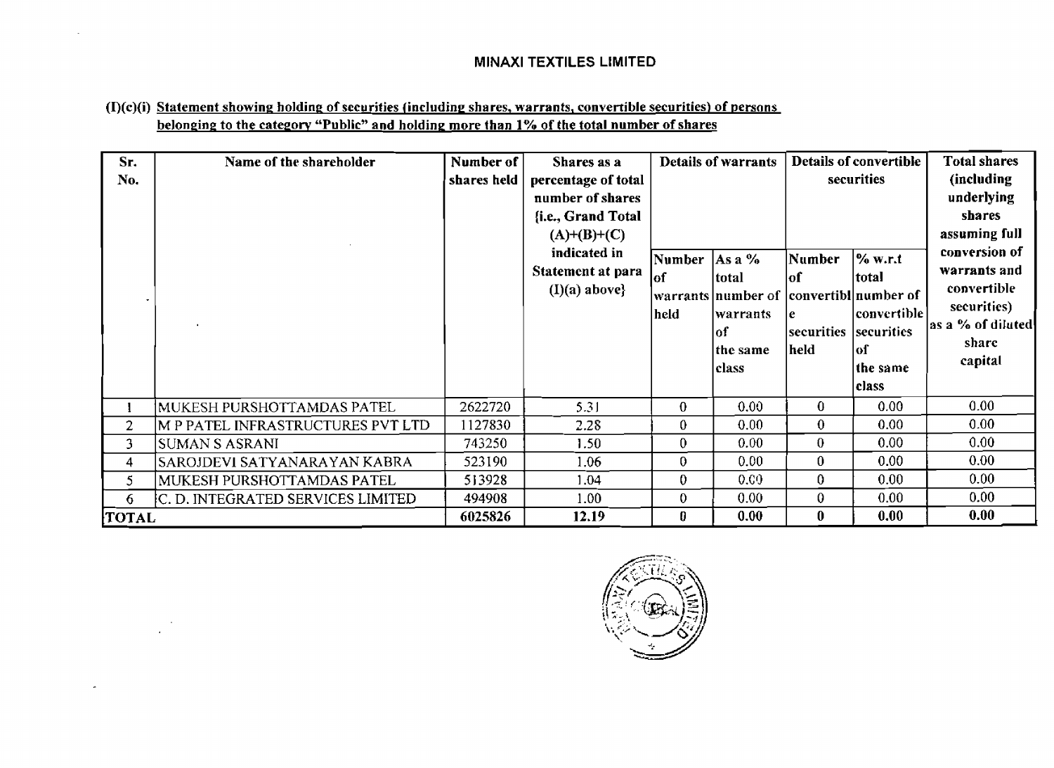# **(I)(c)(i) Statement showing holding: of sccurities lincludinp shares, warrants, convertible securitiesl of Persons belonging to the category "Public" and holding more than 1% of the total number of shares**

| Sr.<br>No.   | Name of the shareholder           | Number of<br>shares held | Shares as a<br>percentage of total<br>number of shares<br>{i.e., Grand Total<br>$(A)+(B)+(C)$<br>indicated in<br>Statement at para<br>$(I)(a)$ above} | Number<br>lof<br>held | <b>Details of warrants</b><br>$\vert$ As a %<br>total<br> warrants  number of   convertibl  number of<br>lwarrants<br>lof<br>the same<br>class | Number<br>lof<br>e<br>securities<br>held | Details of convertible<br>securities<br>% w.r.t<br> total<br> convertible <br>securities<br> of<br>the same<br> class | Total shares<br>(including<br>underlying<br>shares<br>assuming full<br>conversion of<br>warrants and<br>convertible<br>securitics)<br>as a % of diluted<br>share<br>capital |
|--------------|-----------------------------------|--------------------------|-------------------------------------------------------------------------------------------------------------------------------------------------------|-----------------------|------------------------------------------------------------------------------------------------------------------------------------------------|------------------------------------------|-----------------------------------------------------------------------------------------------------------------------|-----------------------------------------------------------------------------------------------------------------------------------------------------------------------------|
|              | MUKESH PURSHOTTAMDAS PATEL        | 2622720                  | 5.31                                                                                                                                                  | $\bf{0}$              | 0.00                                                                                                                                           | $\bf{0}$                                 | 0.00                                                                                                                  | 0.00                                                                                                                                                                        |
| 2            | M P PATEL INFRASTRUCTURES PVT LTD | 1127830                  | 2.28                                                                                                                                                  | $\bf{0}$              | 0.00                                                                                                                                           | 0                                        | 0.00                                                                                                                  | 0.00                                                                                                                                                                        |
| 3            | <b>SUMAN S ASRANI</b>             | 743250                   | 1.50                                                                                                                                                  | $\mathbf{0}$          | 0.00                                                                                                                                           | $\bf{0}$                                 | 0.00                                                                                                                  | 0.00                                                                                                                                                                        |
| 4            | SAROJDEVI SATYANARAYAN KABRA      | 523190                   | 1.06                                                                                                                                                  | $\bf{0}$              | 0.00                                                                                                                                           | $\bf{0}$                                 | 0.00                                                                                                                  | 0.00                                                                                                                                                                        |
| 5            | MUKESH PURSHOTTAMDAS PATEL        | 513928                   | 1.04                                                                                                                                                  | $\bf{0}$              | 0.00                                                                                                                                           | $\bf{0}$                                 | 0.00                                                                                                                  | 0.00                                                                                                                                                                        |
| 6            | C. D. INTEGRATED SERVICES LIMITED | 494908                   | 1.00                                                                                                                                                  | $\bf{0}$              | 0.00 <sub>1</sub>                                                                                                                              | 0                                        | 0.00                                                                                                                  | 0.00                                                                                                                                                                        |
| <b>TOTAL</b> |                                   | 6025826                  | 12.19                                                                                                                                                 | 0                     | 0.00                                                                                                                                           | $\bf{0}$                                 | 0.00                                                                                                                  | 0.00                                                                                                                                                                        |

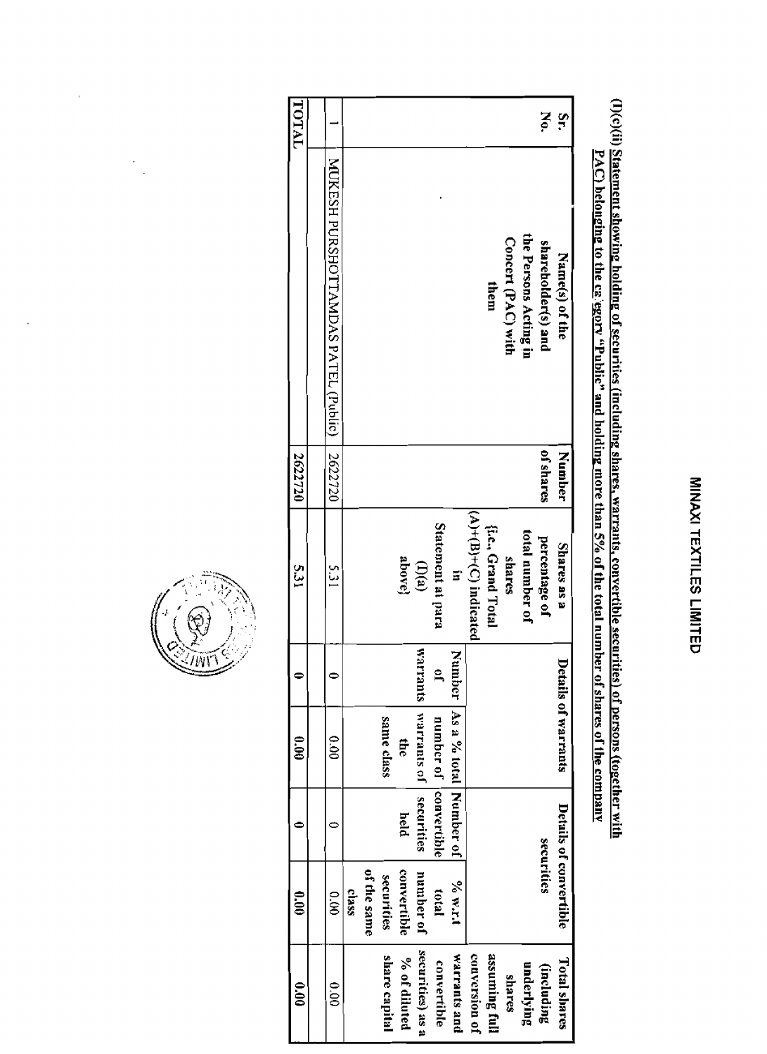# (I)(c)(ii) <u>Statement showing holding of securities (including shares, warrants, convertible securities) of persons (together with<br>PAC) belonging to the ca'egory "Public" and holding more than 5% of the total number of sha</u>

| TOTAL         |                                       |       |             |               |               |                    |                       |                        |                         |                   |                    |                       | š                  | $\mathbf{S}$           |
|---------------|---------------------------------------|-------|-------------|---------------|---------------|--------------------|-----------------------|------------------------|-------------------------|-------------------|--------------------|-----------------------|--------------------|------------------------|
|               | NUXESH PORSHOLLANDAN S PALET (Pielio) |       |             |               |               |                    |                       |                        |                         | them              | Concert (PAC) with | the Persons Acting in | shareholder(s) and | Name(s) of the         |
| 2622720       | 2622720                               |       |             |               |               |                    |                       |                        |                         |                   |                    |                       | of shares          | Number                 |
| <b>S.31</b>   | ն<br>13                               |       |             |               | above}        | $\mathbb{D}^{(a)}$ | Statement at para     | 5'                     | $(A)+(B)+(C)$ indicated | {Le., Grand Total | shares             | total number of       | percentage of      | Shares as a            |
|               |                                       |       |             |               |               | <b>SIUELIEM</b>    | $\mathbf{a}$          | Number                 |                         |                   |                    |                       |                    |                        |
| $\frac{6}{2}$ | 0.00                                  |       |             | same class    | $\frac{1}{2}$ | warrants of        | number of convertible | As a % total Number of |                         |                   |                    |                       |                    | Details of warrants    |
|               |                                       |       |             |               | held          | securities         |                       |                        |                         |                   |                    |                       |                    |                        |
| $\frac{1}{2}$ | $\frac{1}{8}$                         | ciass | of the same | securities    | convertible   | number of          | total                 | $\sim 54$              |                         |                   |                    |                       | securities         | Details of convertible |
| $\frac{1}{2}$ | 0.00                                  |       |             | share capital | % of diluted  | securities) as a   | convertible           | warrants and           | conversion of           | assuming full     | shares             | underlying            | (including         | <b>Total shares</b>    |



l,

 $\ddot{\phantom{a}}$ 

 $\frac{1}{\sqrt{2}}$  $\ddot{\phantom{a}}$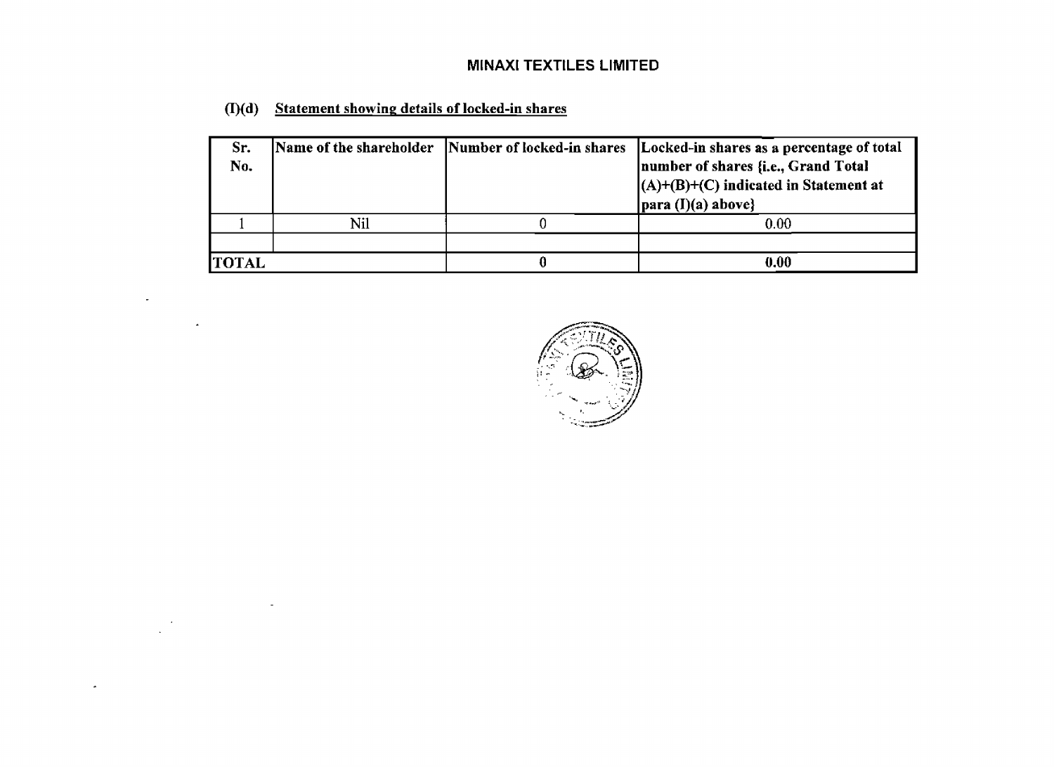| Sr.<br>No.   |     | Name of the shareholder  Number of locked-in shares | Locked-in shares as a percentage of total<br>number of shares {i.e., Grand Total<br>$(A)+(B)+(C)$ indicated in Statement at<br>$\vert$ para (I)(a) above} |
|--------------|-----|-----------------------------------------------------|-----------------------------------------------------------------------------------------------------------------------------------------------------------|
|              | Nil |                                                     | 0.00                                                                                                                                                      |
|              |     |                                                     |                                                                                                                                                           |
| <b>TOTAL</b> |     |                                                     | 0.00                                                                                                                                                      |

**(I)(d) Statement showing details of locked-in shares** 

 $\sim$ 

 $\Delta$ 

 $\sim$ 

 $\bullet$ 

 $\sim$ 

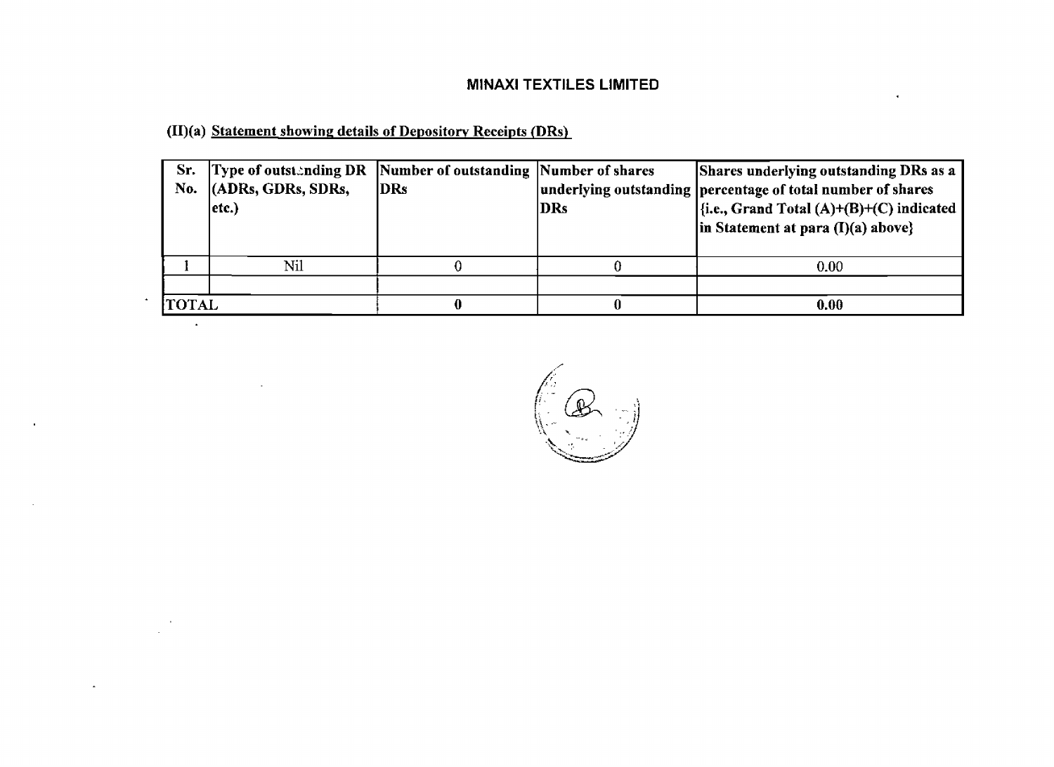**@)(a) Statement showing details of Depositow Receipts (DRs)** 

**All Contractor** 

| Sr.<br>No.   | Type of outstanding DR Number of outstanding Number of shares<br>$ $ (ADRs, GDRs, SDRs,<br>etc.) | <b>IDRs</b> | DRs | Shares underlying outstanding DRs as a<br>underlying outstanding percentage of total number of shares<br>$\left  \{i.e., Grand Total (A) + (B) + (C) indicated} \right $<br>in Statement at para $(I)(a)$ above} |
|--------------|--------------------------------------------------------------------------------------------------|-------------|-----|------------------------------------------------------------------------------------------------------------------------------------------------------------------------------------------------------------------|
|              | Nil                                                                                              |             |     | 0.00                                                                                                                                                                                                             |
|              |                                                                                                  |             |     |                                                                                                                                                                                                                  |
| <b>TOTAL</b> |                                                                                                  |             |     | 0.00                                                                                                                                                                                                             |